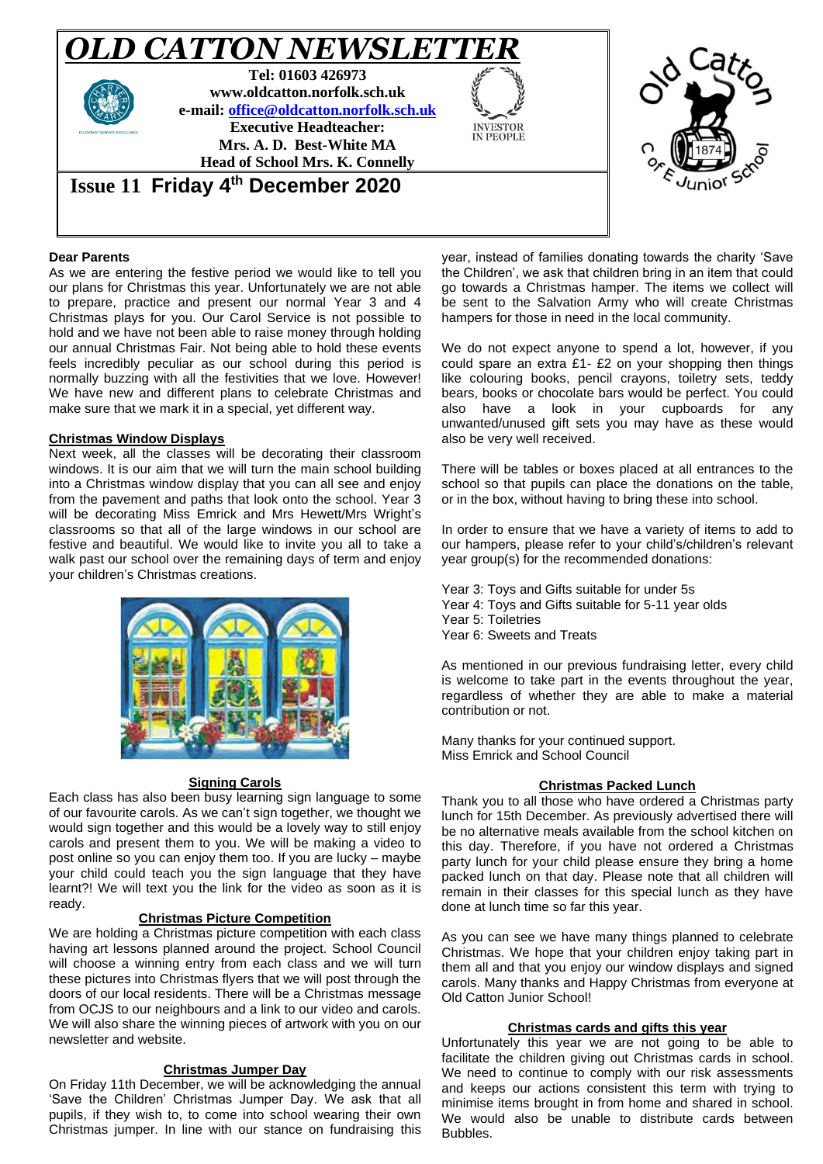

# **Dear Parents**

As we are entering the festive period we would like to tell you our plans for Christmas this year. Unfortunately we are not able to prepare, practice and present our normal Year 3 and 4 Christmas plays for you. Our Carol Service is not possible to hold and we have not been able to raise money through holding our annual Christmas Fair. Not being able to hold these events feels incredibly peculiar as our school during this period is normally buzzing with all the festivities that we love. However! We have new and different plans to celebrate Christmas and make sure that we mark it in a special, yet different way.

#### **Christmas Window Displays**

Next week, all the classes will be decorating their classroom windows. It is our aim that we will turn the main school building into a Christmas window display that you can all see and enjoy from the pavement and paths that look onto the school. Year 3 will be decorating Miss Emrick and Mrs Hewett/Mrs Wright's classrooms so that all of the large windows in our school are festive and beautiful. We would like to invite you all to take a walk past our school over the remaining days of term and enjoy your children's Christmas creations.



#### **Signing Carols**

Each class has also been busy learning sign language to some of our favourite carols. As we can't sign together, we thought we would sign together and this would be a lovely way to still enjoy carols and present them to you. We will be making a video to post online so you can enjoy them too. If you are lucky – maybe your child could teach you the sign language that they have learnt?! We will text you the link for the video as soon as it is ready.

#### **Christmas Picture Competition**

We are holding a Christmas picture competition with each class having art lessons planned around the project. School Council will choose a winning entry from each class and we will turn these pictures into Christmas flyers that we will post through the doors of our local residents. There will be a Christmas message from OCJS to our neighbours and a link to our video and carols. We will also share the winning pieces of artwork with you on our newsletter and website.

#### **Christmas Jumper Day**

On Friday 11th December, we will be acknowledging the annual 'Save the Children' Christmas Jumper Day. We ask that all pupils, if they wish to, to come into school wearing their own Christmas jumper. In line with our stance on fundraising this year, instead of families donating towards the charity 'Save the Children', we ask that children bring in an item that could go towards a Christmas hamper. The items we collect will be sent to the Salvation Army who will create Christmas hampers for those in need in the local community.

We do not expect anyone to spend a lot, however, if you could spare an extra £1- £2 on your shopping then things like colouring books, pencil crayons, toiletry sets, teddy bears, books or chocolate bars would be perfect. You could also have a look in your cupboards for any unwanted/unused gift sets you may have as these would also be very well received.

There will be tables or boxes placed at all entrances to the school so that pupils can place the donations on the table, or in the box, without having to bring these into school.

In order to ensure that we have a variety of items to add to our hampers, please refer to your child's/children's relevant year group(s) for the recommended donations:

Year 3: Toys and Gifts suitable for under 5s Year 4: Toys and Gifts suitable for 5-11 year olds Year 5: Toiletries Year 6: Sweets and Treats

As mentioned in our previous fundraising letter, every child is welcome to take part in the events throughout the year, regardless of whether they are able to make a material contribution or not.

Many thanks for your continued support. Miss Emrick and School Council

#### **Christmas Packed Lunch**

Thank you to all those who have ordered a Christmas party lunch for 15th December. As previously advertised there will be no alternative meals available from the school kitchen on this day. Therefore, if you have not ordered a Christmas party lunch for your child please ensure they bring a home packed lunch on that day. Please note that all children will remain in their classes for this special lunch as they have done at lunch time so far this year.

As you can see we have many things planned to celebrate Christmas. We hope that your children enjoy taking part in them all and that you enjoy our window displays and signed carols. Many thanks and Happy Christmas from everyone at Old Catton Junior School!

#### **Christmas cards and gifts this year**

Unfortunately this year we are not going to be able to facilitate the children giving out Christmas cards in school. We need to continue to comply with our risk assessments and keeps our actions consistent this term with trying to minimise items brought in from home and shared in school. We would also be unable to distribute cards between Bubbles.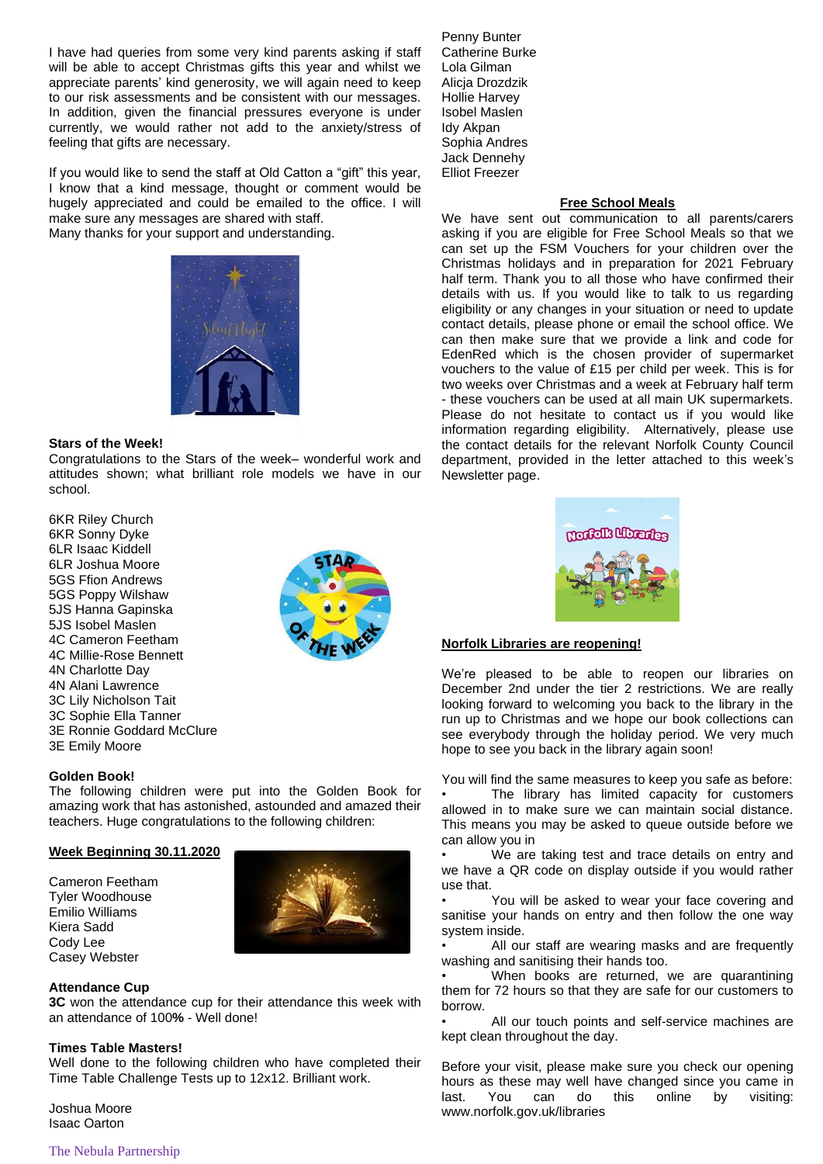I have had queries from some very kind parents asking if staff will be able to accept Christmas gifts this year and whilst we appreciate parents' kind generosity, we will again need to keep to our risk assessments and be consistent with our messages. In addition, given the financial pressures everyone is under currently, we would rather not add to the anxiety/stress of feeling that gifts are necessary.

If you would like to send the staff at Old Catton a "gift" this year, I know that a kind message, thought or comment would be hugely appreciated and could be emailed to the office. I will make sure any messages are shared with staff. Many thanks for your support and understanding.



### **Stars of the Week!**

Congratulations to the Stars of the week– wonderful work and attitudes shown; what brilliant role models we have in our school.

6KR Riley Church 6KR Sonny Dyke 6LR Isaac Kiddell 6LR Joshua Moore 5GS Ffion Andrews 5GS Poppy Wilshaw 5JS Hanna Gapinska 5JS Isobel Maslen 4C Cameron Feetham 4C Millie-Rose Bennett 4N Charlotte Day 4N Alani Lawrence 3C Lily Nicholson Tait 3C Sophie Ella Tanner 3E Ronnie Goddard McClure 3E Emily Moore



#### **Golden Book!**

The following children were put into the Golden Book for amazing work that has astonished, astounded and amazed their teachers. Huge congratulations to the following children:

### **Week Beginning 30.11.2020**

Cameron Feetham Tyler Woodhouse Emilio Williams Kiera Sadd Cody Lee Casey Webster



## **Attendance Cup**

**3C** won the attendance cup for their attendance this week with an attendance of 100**%** - Well done!

#### **Times Table Masters!**

Well done to the following children who have completed their Time Table Challenge Tests up to 12x12. Brilliant work.

Joshua Moore Isaac Oarton

Penny Bunter Catherine Burke Lola Gilman Alicja Drozdzik Hollie Harvey Isobel Maslen Idy Akpan Sophia Andres Jack Dennehy Elliot Freezer

## **Free School Meals**

We have sent out communication to all parents/carers asking if you are eligible for Free School Meals so that we can set up the FSM Vouchers for your children over the Christmas holidays and in preparation for 2021 February half term. Thank you to all those who have confirmed their details with us. If you would like to talk to us regarding eligibility or any changes in your situation or need to update contact details, please phone or email the school office. We can then make sure that we provide a link and code for EdenRed which is the chosen provider of supermarket vouchers to the value of £15 per child per week. This is for two weeks over Christmas and a week at February half term - these vouchers can be used at all main UK supermarkets. Please do not hesitate to contact us if you would like information regarding eligibility. Alternatively, please use the contact details for the relevant Norfolk County Council department, provided in the letter attached to this week's Newsletter page.



## **Norfolk Libraries are reopening!**

We're pleased to be able to reopen our libraries on December 2nd under the tier 2 restrictions. We are really looking forward to welcoming you back to the library in the run up to Christmas and we hope our book collections can see everybody through the holiday period. We very much hope to see you back in the library again soon!

You will find the same measures to keep you safe as before: The library has limited capacity for customers allowed in to make sure we can maintain social distance. This means you may be asked to queue outside before we can allow you in

We are taking test and trace details on entry and we have a QR code on display outside if you would rather use that.

You will be asked to wear your face covering and sanitise your hands on entry and then follow the one way system inside.

All our staff are wearing masks and are frequently washing and sanitising their hands too.

When books are returned, we are quarantining them for 72 hours so that they are safe for our customers to borrow.

All our touch points and self-service machines are kept clean throughout the day.

Before your visit, please make sure you check our opening hours as these may well have changed since you came in last. You can do this online by visiting: www.norfolk.gov.uk/libraries